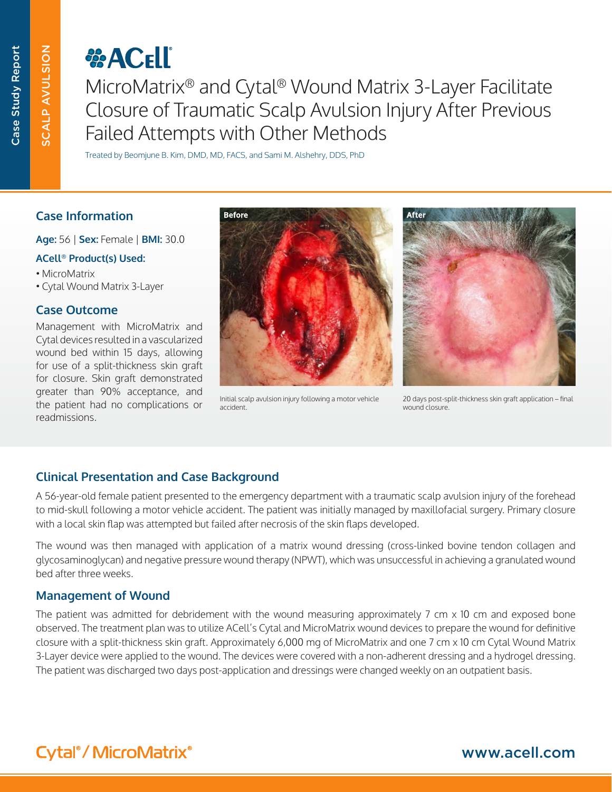SCALP AVULSION

**SCALP AVULSION** 

# *<b>CHO*

MicroMatrix® and Cytal® Wound Matrix 3-Layer Facilitate Closure of Traumatic Scalp Avulsion Injury After Previous Failed Attempts with Other Methods

Treated by Beomjune B. Kim, DMD, MD, FACS, and Sami M. Alshehry, DDS, PhD

## **Case Information**

**Age:** 56 | **Sex:** Female | **BMI:** 30.0

#### **ACell® Product(s) Used:**

- MicroMatrix
- **Cytal Wound Matrix 3-Layer**

## **Case Outcome**

Management with MicroMatrix and Cytal devices resulted in a vascularized wound bed within 15 days, allowing for use of a split-thickness skin graft for closure. Skin graft demonstrated greater than 90% acceptance, and the patient had no complications or readmissions.



Initial scalp avulsion injury following a motor vehicle accident.



20 days post-split-thickness skin graft application – final wound closure.

## **Clinical Presentation and Case Background**

A 56-year-old female patient presented to the emergency department with a traumatic scalp avulsion injury of the forehead to mid-skull following a motor vehicle accident. The patient was initially managed by maxillofacial surgery. Primary closure with a local skin flap was attempted but failed after necrosis of the skin flaps developed.

The wound was then managed with application of a matrix wound dressing (cross-linked bovine tendon collagen and glycosaminoglycan) and negative pressure wound therapy (NPWT), which was unsuccessful in achieving a granulated wound bed after three weeks.

## **Management of Wound**

The patient was admitted for debridement with the wound measuring approximately 7 cm x 10 cm and exposed bone observed. The treatment plan was to utilize ACell's Cytal and MicroMatrix wound devices to prepare the wound for definitive closure with a split-thickness skin graft. Approximately 6,000 mg of MicroMatrix and one 7 cm x 10 cm Cytal Wound Matrix 3-Layer device were applied to the wound. The devices were covered with a non-adherent dressing and a hydrogel dressing. The patient was discharged two days post-application and dressings were changed weekly on an outpatient basis.

## www.acell.com